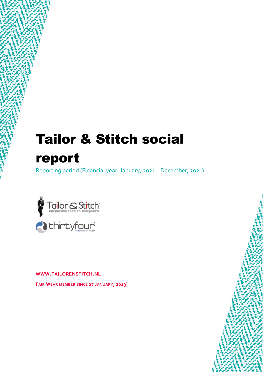# Tailor & Stitch social report

Reporting period (Financial year: January, 2021 – December, 2021)



**WWW.TAILORENSTITCH.NL**

**FAIR WEAR MEMBER SINCE 27 JANUARY, 2013]**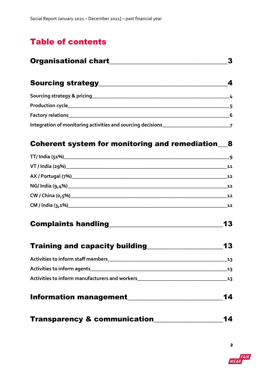# Table of contents

| <b>Organisational chart</b>                                                       |  |
|-----------------------------------------------------------------------------------|--|
| <b>Sourcing strategy_____</b>                                                     |  |
| Sourcing strategy & pricing_____________                                          |  |
|                                                                                   |  |
| Factory relations ______________                                                  |  |
| Integration of monitoring activities and sourcing decisions _____________________ |  |

## [Coherent system for monitoring and remediation\\_\\_\\_8](#page-7-0)

|                                    | - 9 |
|------------------------------------|-----|
|                                    | 11  |
|                                    | 12  |
| NG/India (9,4%)___________________ | 12  |
|                                    | 12  |
|                                    | 12  |

# [Complaints handling\\_\\_\\_\\_\\_\\_\\_\\_\\_\\_\\_\\_\\_\\_\\_\\_\\_\\_\\_\\_\\_\\_\\_\\_\\_\\_\\_\\_\\_\\_\\_\\_\\_13](#page-11-0)

| <b>Training and capacity building</b> | 13 |
|---------------------------------------|----|
| Activities to inform staff members    | 12 |
| Activities to inform agents           | 12 |

| <b>Activities to inform manufacturers and workers</b> |  |
|-------------------------------------------------------|--|
|                                                       |  |

- [Information management\\_\\_\\_\\_\\_\\_\\_\\_\\_\\_\\_\\_\\_\\_\\_\\_\\_\\_\\_\\_\\_\\_\\_\\_\\_\\_\\_\\_14](#page-12-1)
- [Transparency & communication\\_\\_\\_\\_\\_\\_\\_\\_\\_\\_\\_\\_\\_\\_\\_\\_\\_\\_\\_\\_14](#page-12-2)

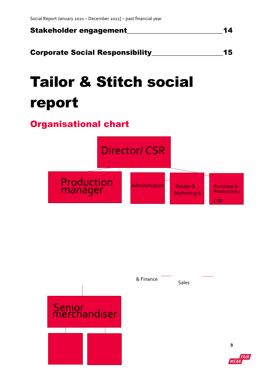

[Corporate Social Responsibility\\_\\_\\_\\_\\_\\_\\_\\_\\_\\_\\_\\_\\_\\_\\_\\_\\_\\_\\_\\_\\_15](#page-13-0)

# Tailor & Stitch social report

# <span id="page-2-0"></span>Organisational chart

Director/ CSR

Production manager

Administration

Design & Purchase & Marketing &

Production / **CSR** 



Sales & Finance

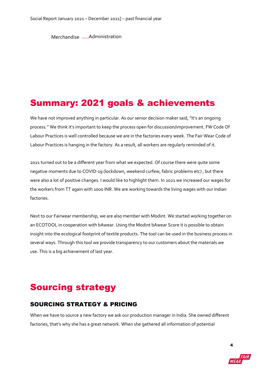Merchandise - Administration

# Summary: 2021 goals & achievements

We have not improved anything in particular. As our senior decision maker said, ''It's an ongoing process.'' We think it's important to keep the process open for discussion/improvement. FW Code Of Labour Practices is well controlled because we are in the factories every week. The Fair Wear Code of Labour Practices is hanging in the factory. As a result, all workers are regularly reminded of it.

2021 turned out to be a different year from what we expected. Of course there were quite some negative moments due to COVID-19 (lockdown, weekend curfew, fabric problems etc) , but there were also a lot of positive changes. I would like to highlight them. In 2021 we increased our wages for the workers from TT again with 1000 INR. We are working towards the living wages with our Indian factories.

Next to our Fairwear membership, we are also member with Modint. We started working together on an ECOTOOL in cooperation with bAwear. Using the Modint bAwear Score it is possible to obtain insight into the ecological footprint of textile products. The tool can be used in the business process in several ways. Through this tool we provide transparency to our customers about the materials we use. This is a big achievement of last year.

# <span id="page-3-0"></span>Sourcing strategy

### <span id="page-3-1"></span>SOURCING STRATEGY & PRICING

When we have to source a new factory we ask our production manager in India. She owned different factories, that's why she has a great network. When she gathered all information of potential

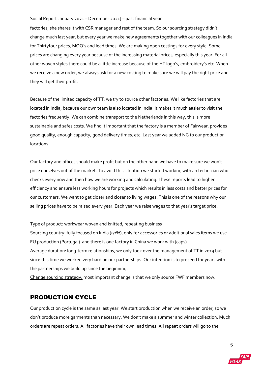factories, she shares it with CSR manager and rest of the team. So our sourcing strategy didn't change much last year, but every year we make new agreements together with our colleagues in India for Thirtyfour prices, MOQ's and lead times. We are making open costings for every style. Some prices are changing every year because of the increasing material prices, especially this year. For all other woven styles there could be a little increase because of the HT logo's, embroidery's etc. When we receive a new order, we always ask for a new costing to make sure we will pay the right price and they will get their profit.

Because of the limited capacity of TT, we try to source other factories. We like factories that are located in India, because our own team is also located in India. It makes it much easier to visit the factories frequently. We can combine transport to the Netherlands in this way, this is more sustainable and safes costs. We find it important that the factory is a member of Fairwear, provides good quality, enough capacity, good delivery times, etc. Last year we added NG to our production locations.

Our factory and offices should make profit but on the other hand we have to make sure we won't price ourselves out of the market. To avoid this situation we started working with an technician who checks every now and then how we are working and calculating. These reports lead to higher efficiency and ensure less working hours for projects which results in less costs and better prices for our customers. We want to get closer and closer to living wages. This is one of the reasons why our selling prices have to be raised every year. Each year we raise wages to that year's target price.

#### Type of product: workwear woven and knitted, repeating business

Sourcing country: fully focused on India (92%), only for accessories or additional sales items we use EU production (Portugal) and there is one factory in China we work with (caps). Average duration: long-term relationships, we only took over the management of TT in 2019 but since this time we worked very hard on our partnerships. Our intention is to proceed for years with the partnerships we build up since the beginning.

Change sourcing strategy: most important change is that we only source FWF members now.

### <span id="page-4-0"></span>PRODUCTION CYCLE

Our production cycle is the same as last year. We start production when we receive an order, so we don't produce more garments than necessary. We don't make a summer and winter collection. Much orders are repeat orders. All factories have their own lead times. All repeat orders will go to the

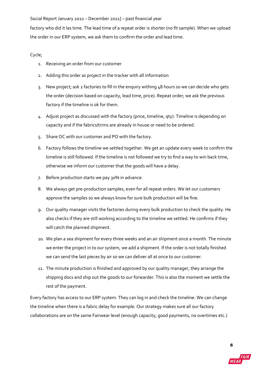factory who did it las time. The lead time of a repeat order is shorter (no fit sample). When we upload the order in our ERP system, we ask them to confirm the order and lead time.

#### Cycle;

- 1. Receiving an order from our customer
- 2. Adding this order as project in the tracker with all information
- 3. New project; ask 2 factories to fill in the enquiry withing 48 hours so we can decide who gets the order (decision based on capacity, lead time, price). Repeat order; we ask the previous factory if the timeline is ok for them.
- 4. Adjust project as discussed with the factory (price, timeline, qty). Timeline is depending on capacity and if the fabrics/trims are already in house or need to be ordered.
- 5. Share OC with our customer and PO with the factory.
- 6. Factory follows the timeline we settled together. We get an update every week to confirm the timeline is still followed. If the timeline is not followed we try to find a way to win back time, otherwise we inform our customer that the goods will have a delay.
- 7. Before production starts we pay 30% in advance.
- 8. We always get pre-production samples, even for all repeat orders. We let our customers approve the samples so we always know for sure bulk production will be fine.
- 9. Our quality manager visits the factories during every bulk production to check the quality. He also checks if they are still working according to the timeline we settled. He confirms if they will catch the planned shipment.
- 10. We plan a sea shipment for every three weeks and an air shipment once a month. The minute we enter the project in to our system, we add a shipment. If the order is not totally finished we can send the last pieces by air so we can deliver all at once to our customer.
- 11. The minute production is finished and approved by our quality manager, they arrange the shipping docs and ship out the goods to our forwarder. This is also the moment we settle the rest of the payment.

Every factory has access to our ERP system. They can log in and check the timeline. We can change the timeline when there is a fabric delay for example. Our strategy makes sure all our factory collaborations are on the same Fairwear level (enough capacity, good payments, no overtimes etc.)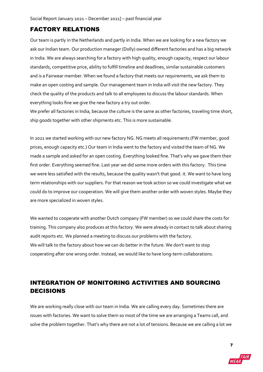### <span id="page-6-0"></span>FACTORY RELATIONS

Our team is partly in the Netherlands and partly in India. When we are looking for a new factory we ask our Indian team. Our production manager (Dolly) owned different factories and has a big network in India. We are always searching for a factory with high quality, enough capacity, respect our labour standards, competitive price, ability to fulfill timeline and deadlines, similar sustainable customers and is a Fairwear member. When we found a factory that meets our requirements, we ask them to make an open costing and sample. Our management team in India will visit the new factory. They check the quality of the products and talk to all employees to discuss the labour standards. When everything looks fine we give the new factory a try out order.

We prefer all factories in India, because the culture is the same as other factories, traveling time short, ship goods together with other shipments etc. This is more sustainable.

In 2021 we started working with our new factory NG. NG meets all requirements (FW member, good prices, enough capacity etc.) Our team in India went to the factory and visited the team of NG. We made a sample and asked for an open costing. Everything looked fine. That's why we gave them their first order. Everything seemed fine. Last year we did some more orders with this factory. This time we were less satisfied with the results, because the quality wasn't that good. it. We want to have long term relationships with our suppliers. For that reason we took action so we could investigate what we could do to improve our cooperation. We will give them another order with woven styles. Maybe they are more specialized in woven styles.

We wanted to cooperate with another Dutch company (FW member) so we could share the costs for training. This company also produces at this factory. We were already in contact to talk about sharing audit reports etc. We planned a meeting to discuss our problems with the factory. We will talk to the factory about how we can do better in the future. We don't want to stop cooperating after one wrong order. Instead, we would like to have long-term collaborations.

### <span id="page-6-1"></span>INTEGRATION OF MONITORING ACTIVITIES AND SOURCING DECISIONS

We are working really close with our team in India. We are calling every day. Sometimes there are issues with factories. We want to solve them so most of the time we are arranging a Teams call, and solve the problem together. That's why there are not a lot of tensions. Because we are calling a lot we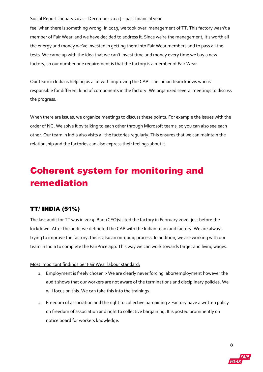feel when there is something wrong. In 2019, we took over management of TT. This factory wasn't a member of Fair Wear and we have decided to address it. Since we're the management, it's worth all the energy and money we've invested in getting them into Fair Wear members and to pass all the tests. We came up with the idea that we can't invest time and money every time we buy a new factory, so our number one requirement is that the factory is a member of Fair Wear.

Our team in India is helping us a lot with improving the CAP. The Indian team knows who is responsible for different kind of components in the factory. We organized several meetings to discuss the progress.

When there are issues, we organize meetings to discuss these points. For example the issues with the order of NG. We solve it by talking to each other through Microsoft teams, so you can also see each other. Our team in India also visits all the factories regularly. This ensures that we can maintain the relationship and the factories can also express their feelings about it

# <span id="page-7-0"></span>Coherent system for monitoring and remediation

### <span id="page-7-1"></span>TT/ INDIA (51%)

The last audit for TT was in 2019. Bart (CEO)visited the factory in February 2020, just before the lockdown. After the audit we debriefed the CAP with the Indian team and factory. We are always trying to improve the factory, this is also an on-going process. In addition, we are working with our team in India to complete the FairPrice app. This way we can work towards target and living wages.

#### Most important findings per Fair Wear labour standard:

- 1. Employment is freely chosen > We are clearly never forcing labor/employment however the audit shows that our workers are not aware of the terminations and disciplinary policies. We will focus on this. We can take this into the trainings.
- 2. Freedom of association and the right to collective bargaining > Factory have a written policy on freedom of association and right to collective bargaining. It is posted prominently on notice board for workers knowledge.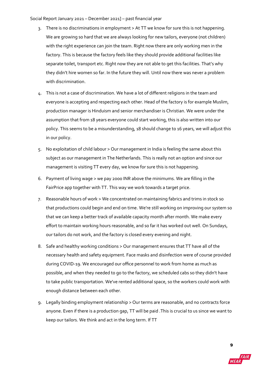- 3. There is no discriminations in employment > At TT we know for sure this is not happening. We are growing so hard that we are always looking for new tailors, everyone (not children) with the right experience can join the team. Right now there are only working men in the factory. This is because the factory feels like they should provide additional facilities like separate toilet, transport etc. Right now they are not able to get this facilities. That's why they didn't hire women so far. In the future they will. Until now there was never a problem with discrimination.
- 4. This is not a case of discrimination. We have a lot of different religions in the team and everyone is accepting and respecting each other. Head of the factory is for example Muslim, production manager is Hinduism and senior merchandiser is Christian. We were under the assumption that from 18 years everyone could start working, this is also written into our policy. This seems to be a misunderstanding, 18 should change to 16 years, we will adjust this in our policy.
- 5. No exploitation of child labour > Our management in India is feeling the same about this subject as our management in The Netherlands. This is really not an option and since our management is visiting TT every day, we know for sure this is not happening.
- 6. Payment of living wage > we pay 2000 INR above the minimums. We are filling in the FairPrice app together with TT. This way we work towards a target price.
- 7. Reasonable hours of work > We concentrated on maintaining fabrics and trims in stock so that productions could begin and end on time. We're still working on improving our system so that we can keep a better track of available capacity month after month. We make every effort to maintain working hours reasonable, and so far it has worked out well. On Sundays, our tailors do not work, and the factory is closed every evening and night.
- 8. Safe and healthy working conditions > Our management ensures that TT have all of the necessary health and safety equipment. Face masks and disinfection were of course provided during COVID-19. We encouraged our office personnel to work from home as much as possible, and when they needed to go to the factory, we scheduled cabs so they didn't have to take public transportation. We've rented additional space, so the workers could work with enough distance between each other.
- 9. Legally binding employment relationship > Our terms are reasonable, and no contracts force anyone. Even if there is a production gap, TT will be paid .This is crucial to us since we want to keep our tailors. We think and act in the long term. If TT

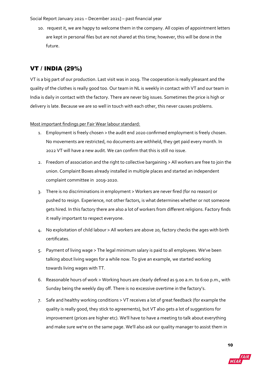10. request it, we are happy to welcome them in the company. All copies of appointment letters are kept in personal files but are not shared at this time; however, this will be done in the future.

## <span id="page-9-0"></span>VT / INDIA (29%)

VT is a big part of our production. Last visit was in 2019. The cooperation is really pleasant and the quality of the clothes is really good too. Our team in NL is weekly in contact with VT and our team in India is daily in contact with the factory. There are never big issues. Sometimes the price is high or delivery is late. Because we are so well in touch with each other, this never causes problems.

#### Most important findings per Fair Wear labour standard:

- 1. Employment is freely chosen > the audit end 2020 confirmed employment is freely chosen. No movements are restricted, no documents are withheld, they get paid every month. In 2022 VT will have a new audit. We can confirm that this is still no issue.
- 2. Freedom of association and the right to collective bargaining > All workers are free to join the union. Complaint Boxes already installed in multiple places and started an independent complaint committee in 2019-2020.
- 3. There is no discriminations in employment > Workers are never fired (for no reason) or pushed to resign. Experience, not other factors, is what determines whether or not someone gets hired. In this factory there are also a lot of workers from different religions. Factory finds it really important to respect everyone.
- 4. No exploitation of child labour > All workers are above 20, factory checks the ages with birth certificates.
- 5. Payment of living wage > The legal minimum salary is paid to all employees. We've been talking about living wages for a while now. To give an example, we started working towards living wages with TT.
- 6. Reasonable hours of work > Working hours are clearly defined as 9.00 a.m. to 6:00 p.m., with Sunday being the weekly day off. There is no excessive overtime in the factory's.
- 7. Safe and healthy working conditions > VT receives a lot of great feedback (for example the quality is really good, they stick to agreements), but VT also gets a lot of suggestions for improvement (prices are higher etc). We'll have to have a meeting to talk about everything and make sure we're on the same page. We'll also ask our quality manager to assist them in

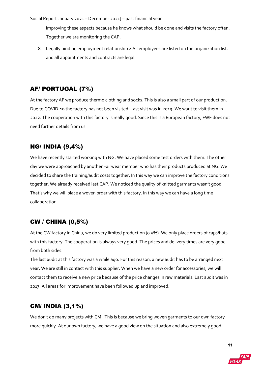improving these aspects because he knows what should be done and visits the factory often. Together we are monitoring the CAP.

8. Legally binding employment relationship > All employees are listed on the organization list, and all appointments and contracts are legal.

### <span id="page-10-0"></span>AF/ PORTUGAL (7%)

At the factory AF we produce thermo clothing and socks. This is also a small part of our production. Due to COVID-19 the factory has not been visited. Last visit was in 2019. We want to visit them in 2022. The cooperation with this factory is really good. Since this is a European factory, FWF does not need further details from us.

### <span id="page-10-1"></span>NG/ INDIA (9,4%)

We have recently started working with NG. We have placed some test orders with them. The other day we were approached by another Fairwear member who has their products produced at NG. We decided to share the training/audit costs together. In this way we can improve the factory conditions together. We already received last CAP. We noticed the quality of knitted garments wasn't good. That's why we will place a woven order with this factory. In this way we can have a long time collaboration.

### <span id="page-10-2"></span>CW / CHINA (0,5%)

At the CW factory in China, we do very limited production (0.5%). We only place orders of caps/hats with this factory. The cooperation is always very good. The prices and delivery times are very good from both sides.

The last audit at this factory was a while ago. For this reason, a new audit has to be arranged next year. We are still in contact with this supplier. When we have a new order for accessories, we will contact them to receive a new price because of the price changes in raw materials. Last audit was in 2017. All areas for improvement have been followed up and improved.

### <span id="page-10-3"></span>CM/ INDIA (3,1%)

We don't do many projects with CM. This is because we bring woven garments to our own factory more quickly. At our own factory, we have a good view on the situation and also extremely good

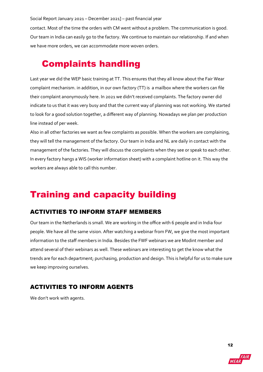contact. Most of the time the orders with CM went without a problem. The communication is good. Our team in India can easily go to the factory. We continue to maintain our relationship. If and when we have more orders, we can accommodate more woven orders.

# <span id="page-11-0"></span>Complaints handling

Last year we did the WEP basic training at TT. This ensures that they all know about the Fair Wear complaint mechanism. in addition, in our own factory (TT) is a mailbox where the workers can file their complaint anonymously here. In 2021 we didn't received complaints. The factory owner did indicate to us that it was very busy and that the current way of planning was not working. We started to look for a good solution together, a different way of planning. Nowadays we plan per production line instead of per week.

Also in all other factories we want as few complaints as possible. When the workers are complaining, they will tell the management of the factory. Our team in India and NL are daily in contact with the management of the factories. They will discuss the complaints when they see or speak to each other. In every factory hangs a WIS (worker information sheet) with a complaint hotline on it. This way the workers are always able to call this number.

# <span id="page-11-1"></span>Training and capacity building

### <span id="page-11-2"></span>ACTIVITIES TO INFORM STAFF MEMBERS

Our team in the Netherlands is small. We are working in the office with 6 people and in India four people. We have all the same vision. After watching a webinar from FW, we give the most important information to the staff members in India. Besides the FWF webinars we are Modint member and attend several of their webinars as well. These webinars are interesting to get the know what the trends are for each department; purchasing, production and design. This is helpful for us to make sure we keep improving ourselves.

### <span id="page-11-3"></span>ACTIVITIES TO INFORM AGENTS

We don't work with agents.

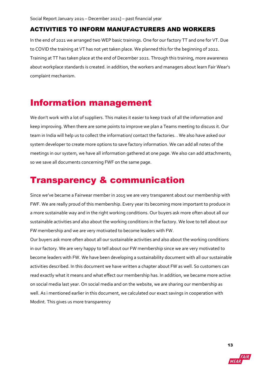### <span id="page-12-0"></span>ACTIVITIES TO INFORM MANUFACTURERS AND WORKERS

In the end of 2021 we arranged two WEP basic trainings. One for our factory TT and one for VT. Due to COVID the training at VT has not yet taken place. We planned this for the beginning of 2022. Training at TT has taken place at the end of December 2021. Through this training, more awareness about workplace standards is created. in addition, the workers and managers about learn Fair Wear's complaint mechanism.

# <span id="page-12-1"></span>Information management

We don't work with a lot of suppliers. This makes it easier to keep track of all the information and keep improving. When there are some points to improve we plan a Teams meeting to discuss it. Our team in India will help us to collect the information/ contact the factories. . We also have asked our system developer to create more options to save factory information. We can add all notes of the meetings in our system, we have all information gathered at one page. We also can add attachments, so we save all documents concerning FWF on the same page.

# <span id="page-12-2"></span>Transparency & communication

Since we've became a Fairwear member in 2015 we are very transparent about our membership with FWF. We are really proud of this membership. Every year its becoming more important to produce in a more sustainable way and in the right working conditions. Our buyers ask more often about all our sustainable activities and also about the working conditions in the factory. We love to tell about our FW membership and we are very motivated to become leaders with FW.

<span id="page-12-3"></span>Our buyers ask more often about all our sustainable activities and also about the working conditions in our factory. We are very happy to tell about our FW membership since we are very motivated to become leaders with FW. We have been developing a sustainability document with all our sustainable activities described. In this document we have written a chapter about FW as well. So customers can read exactly what it means and what effect our membership has. In addition, we became more active on social media last year. On social media and on the website, we are sharing our membership as well. As i mentioned earlier in this document, we calculated our exact savings in cooperation with Modint. This gives us more transparency